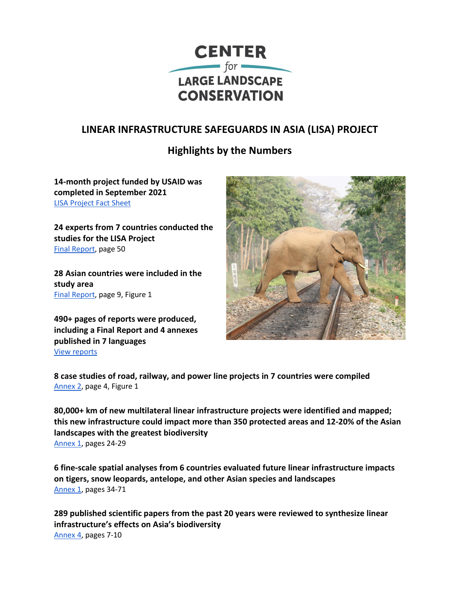

## **LINEAR INFRASTRUCTURE SAFEGUARDS IN ASIA (LISA) PROJECT**

## **Highlights by the Numbers**

**14-month project funded by USAID was completed in September 2021** [LISA Project Fact Sheet](https://largelandscapes.org/wp-content/uploads/2021/10/LISA_Factsheet_v2_FINAL.pdf)

**24 experts from 7 countries conducted the studies for the LISA Project**  [Final Report,](https://largelandscapes.org/wp-content/uploads/2021/09/LISA_FinalReport_FINAL.pdf) page 50

**28 Asian countries were included in the study area** [Final Report,](https://largelandscapes.org/wp-content/uploads/2021/09/LISA_FinalReport_FINAL.pdf) page 9, Figure 1

**490+ pages of reports were produced, including a Final Report and 4 annexes published in 7 languages** [View reports](https://largelandscapes.org/lisa-reports/)



**8 case studies of road, railway, and power line projects in 7 countries were compiled**  [Annex 2,](https://largelandscapes.org/wp-content/uploads/2021/09/LISA_Annex2_CaseStudies_FINAL.pdf) page 4, Figure 1

**80,000+ km of new multilateral linear infrastructure projects were identified and mapped; this new infrastructure could impact more than 350 protected areas and 12-20% of the Asian landscapes with the greatest biodiversity** [Annex 1,](https://largelandscapes.org/wp-content/uploads/2021/09/LISA_Annex1_SpatialAnalysis_FINAL.pdf) pages 24-29

**6 fine-scale spatial analyses from 6 countries evaluated future linear infrastructure impacts on tigers, snow leopards, antelope, and other Asian species and landscapes** [Annex 1,](https://largelandscapes.org/wp-content/uploads/2021/09/LISA_Annex1_SpatialAnalysis_FINAL.pdf) pages 34-71

**289 published scientific papers from the past 20 years were reviewed to synthesize linear infrastructure's effects on Asia's biodiversity** [Annex 4,](https://largelandscapes.org/wp-content/uploads/2021/09/LISA_Annex4_LiteratureReview_FINAL.pdf) pages 7-10